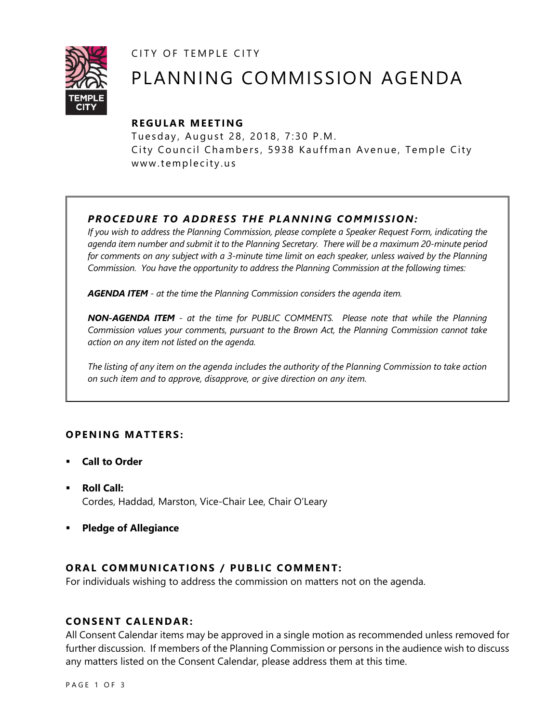CITY OF TEMPLE CITY



# PLANNING COMMISSION AGENDA

# **R EGULA R MEE TING**

Tuesday, August 28, 2018, 7:30 P.M. City Council Chambers, 5938 Kauffman Avenue, Temple City www.templecity.us

# *PRO CE DURE TO ADDRE SS THE P LA NNI NG COMM I SSION:*

*If you wish to address the Planning Commission, please complete a Speaker Request Form, indicating the agenda item number and submit it to the Planning Secretary. There will be a maximum 20-minute period*  for comments on any subject with a 3-minute time limit on each speaker, unless waived by the Planning *Commission. You have the opportunity to address the Planning Commission at the following times:*

*AGENDA ITEM - at the time the Planning Commission considers the agenda item.*

*NON-AGENDA ITEM - at the time for PUBLIC COMMENTS. Please note that while the Planning Commission values your comments, pursuant to the Brown Act, the Planning Commission cannot take action on any item not listed on the agenda.*

*The listing of any item on the agenda includes the authority of the Planning Commission to take action on such item and to approve, disapprove, or give direction on any item.*

# **OPEN ING MAT TERS :**

- **Call to Order**
- **Roll Call:** Cordes, Haddad, Marston, Vice-Chair Lee, Chair O'Leary
- **Pledge of Allegiance**

# **ORAL COMMUNICATIONS / PUBLIC COMMENT:**

For individuals wishing to address the commission on matters not on the agenda.

## **CONSENT CA LENDAR:**

All Consent Calendar items may be approved in a single motion as recommended unless removed for further discussion. If members of the Planning Commission or persons in the audience wish to discuss any matters listed on the Consent Calendar, please address them at this time.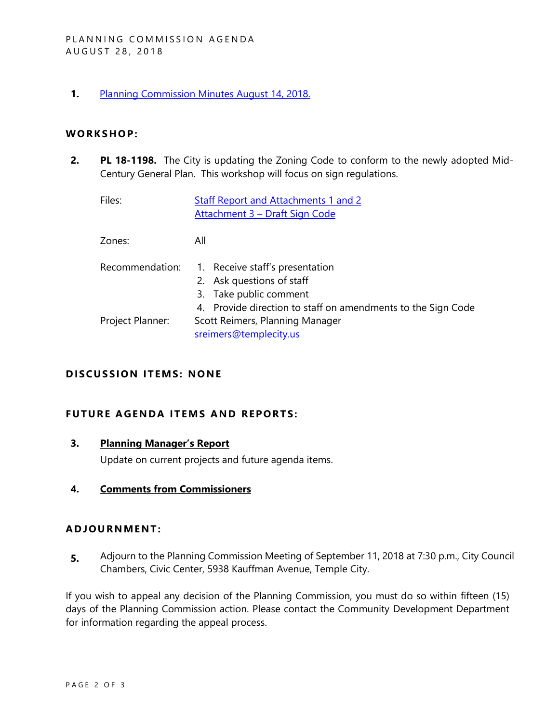**1.** [Planning Commission Minutes August 14, 2018.](http://templecity.us/DocumentCenter/View/10877/Draft-Planning-Commission-Minutes---08142018)

#### **WORKS HOP:**

**2. PL 18-1198.** The City is updating the Zoning Code to conform to the newly adopted Mid-Century General Plan. This workshop will focus on sign regulations.

| Files:           | <b>Staff Report and Attachments 1 and 2</b><br>Attachment 3 - Draft Sign Code                                                                          |
|------------------|--------------------------------------------------------------------------------------------------------------------------------------------------------|
| Zones:           | All                                                                                                                                                    |
| Recommendation:  | 1. Receive staff's presentation<br>2. Ask questions of staff<br>3. Take public comment<br>4. Provide direction to staff on amendments to the Sign Code |
| Project Planner: | Scott Reimers, Planning Manager<br>sreimers@templecity.us                                                                                              |

## **D ISCUSSION ITEMS: NONE**

#### **FUTURE AGENDA ITEMS AND REPORTS:**

## **3. Planning Manager's Report**

Update on current projects and future agenda items.

#### **4. Comments from Commissioners**

#### **ADJOU RNMENT:**

**5.** Adjourn to the Planning Commission Meeting of September 11, 2018 at 7:30 p.m., City Council Chambers, Civic Center, 5938 Kauffman Avenue, Temple City.

If you wish to appeal any decision of the Planning Commission, you must do so within fifteen (15) days of the Planning Commission action. Please contact the Community Development Department for information regarding the appeal process.